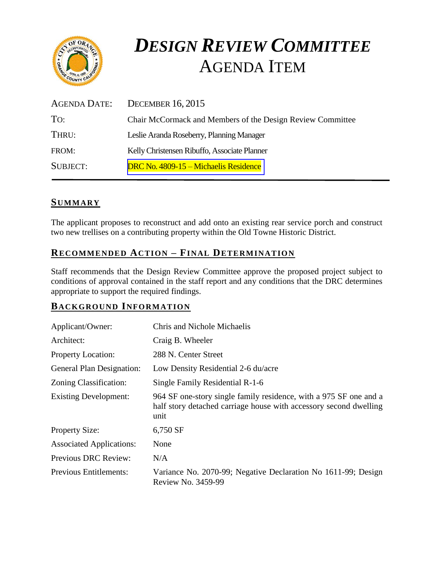

# *DESIGN REVIEW COMMITTEE*  AGENDA ITEM

| AGENDA DATE:    | DECEMBER $16, 2015$                                        |
|-----------------|------------------------------------------------------------|
| To:             | Chair McCormack and Members of the Design Review Committee |
| THRU:           | Leslie Aranda Roseberry, Planning Manager                  |
| FROM:           | Kelly Christensen Ribuffo, Associate Planner               |
| <b>SUBJECT:</b> | DRC No. 4809-15 – Michaelis Residence                      |

# **SUMMARY**

The applicant proposes to reconstruct and add onto an existing rear service porch and construct two new trellises on a contributing property within the Old Towne Historic District.

# **RECOMMENDED ACTION – FINAL DETERMINATION**

Staff recommends that the Design Review Committee approve the proposed project subject to conditions of approval contained in the staff report and any conditions that the DRC determines appropriate to support the required findings.

## **BACKGROUND INFORMATION**

| Applicant/Owner:                 | <b>Chris and Nichole Michaelis</b>                                                                                                             |
|----------------------------------|------------------------------------------------------------------------------------------------------------------------------------------------|
| Architect:                       | Craig B. Wheeler                                                                                                                               |
| <b>Property Location:</b>        | 288 N. Center Street                                                                                                                           |
| <b>General Plan Designation:</b> | Low Density Residential 2-6 du/acre                                                                                                            |
| Zoning Classification:           | Single Family Residential R-1-6                                                                                                                |
| <b>Existing Development:</b>     | 964 SF one-story single family residence, with a 975 SF one and a<br>half story detached carriage house with accessory second dwelling<br>unit |
| <b>Property Size:</b>            | 6,750 SF                                                                                                                                       |
| <b>Associated Applications:</b>  | None                                                                                                                                           |
| <b>Previous DRC Review:</b>      | N/A                                                                                                                                            |
| <b>Previous Entitlements:</b>    | Variance No. 2070-99; Negative Declaration No 1611-99; Design<br>Review No. 3459-99                                                            |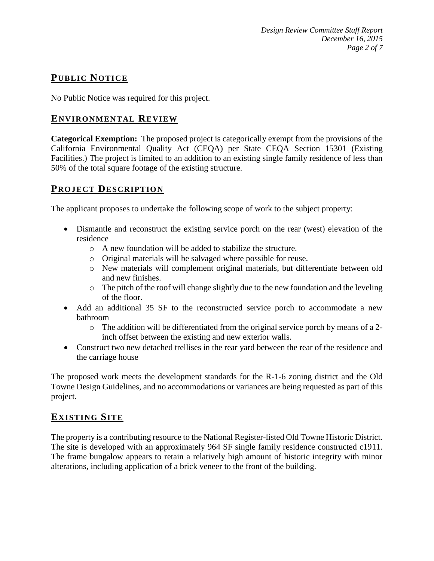# **PUB LIC NOTICE**

No Public Notice was required for this project.

# **ENVIRONMENTAL REVIEW**

**Categorical Exemption:** The proposed project is categorically exempt from the provisions of the California Environmental Quality Act (CEQA) per State CEQA Section 15301 (Existing Facilities.) The project is limited to an addition to an existing single family residence of less than 50% of the total square footage of the existing structure.

## **PROJECT DESCRIP TION**

The applicant proposes to undertake the following scope of work to the subject property:

- Dismantle and reconstruct the existing service porch on the rear (west) elevation of the residence
	- o A new foundation will be added to stabilize the structure.
	- o Original materials will be salvaged where possible for reuse.
	- o New materials will complement original materials, but differentiate between old and new finishes.
	- o The pitch of the roof will change slightly due to the new foundation and the leveling of the floor.
- Add an additional 35 SF to the reconstructed service porch to accommodate a new bathroom
	- o The addition will be differentiated from the original service porch by means of a 2 inch offset between the existing and new exterior walls.
- Construct two new detached trellises in the rear yard between the rear of the residence and the carriage house

The proposed work meets the development standards for the R-1-6 zoning district and the Old Towne Design Guidelines, and no accommodations or variances are being requested as part of this project.

# **EXISTING SITE**

The property is a contributing resource to the National Register-listed Old Towne Historic District. The site is developed with an approximately 964 SF single family residence constructed c1911. The frame bungalow appears to retain a relatively high amount of historic integrity with minor alterations, including application of a brick veneer to the front of the building.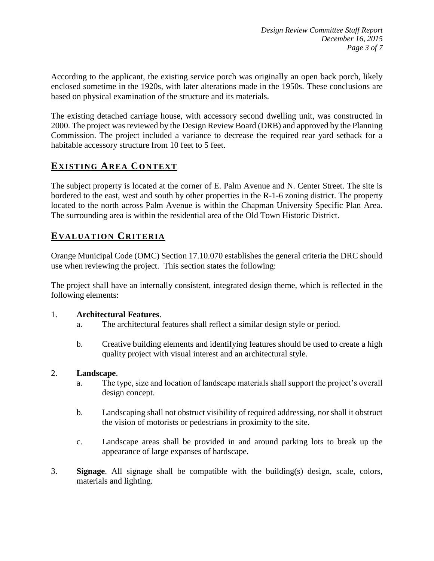According to the applicant, the existing service porch was originally an open back porch, likely enclosed sometime in the 1920s, with later alterations made in the 1950s. These conclusions are based on physical examination of the structure and its materials.

The existing detached carriage house, with accessory second dwelling unit, was constructed in 2000. The project was reviewed by the Design Review Board (DRB) and approved by the Planning Commission. The project included a variance to decrease the required rear yard setback for a habitable accessory structure from 10 feet to 5 feet.

# **EXISTING AREA CONTEXT**

The subject property is located at the corner of E. Palm Avenue and N. Center Street. The site is bordered to the east, west and south by other properties in the R-1-6 zoning district. The property located to the north across Palm Avenue is within the Chapman University Specific Plan Area. The surrounding area is within the residential area of the Old Town Historic District.

# **EVALUATION CRITERIA**

Orange Municipal Code (OMC) Section 17.10.070 establishes the general criteria the DRC should use when reviewing the project. This section states the following:

The project shall have an internally consistent, integrated design theme, which is reflected in the following elements:

#### 1. **Architectural Features**.

- a. The architectural features shall reflect a similar design style or period.
- b. Creative building elements and identifying features should be used to create a high quality project with visual interest and an architectural style.

#### 2. **Landscape**.

- a. The type, size and location of landscape materials shall support the project's overall design concept.
- b. Landscaping shall not obstruct visibility of required addressing, nor shall it obstruct the vision of motorists or pedestrians in proximity to the site.
- c. Landscape areas shall be provided in and around parking lots to break up the appearance of large expanses of hardscape.
- 3. **Signage**. All signage shall be compatible with the building(s) design, scale, colors, materials and lighting.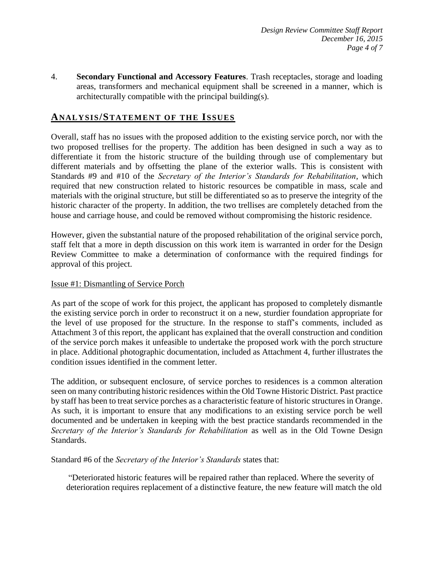4. **Secondary Functional and Accessory Features**. Trash receptacles, storage and loading areas, transformers and mechanical equipment shall be screened in a manner, which is architecturally compatible with the principal building(s).

#### **ANALY SIS/STATEMENT OF THE ISSUES**

Overall, staff has no issues with the proposed addition to the existing service porch, nor with the two proposed trellises for the property. The addition has been designed in such a way as to differentiate it from the historic structure of the building through use of complementary but different materials and by offsetting the plane of the exterior walls. This is consistent with Standards #9 and #10 of the *Secretary of the Interior's Standards for Rehabilitation*, which required that new construction related to historic resources be compatible in mass, scale and materials with the original structure, but still be differentiated so as to preserve the integrity of the historic character of the property. In addition, the two trellises are completely detached from the house and carriage house, and could be removed without compromising the historic residence.

However, given the substantial nature of the proposed rehabilitation of the original service porch, staff felt that a more in depth discussion on this work item is warranted in order for the Design Review Committee to make a determination of conformance with the required findings for approval of this project.

#### Issue #1: Dismantling of Service Porch

As part of the scope of work for this project, the applicant has proposed to completely dismantle the existing service porch in order to reconstruct it on a new, sturdier foundation appropriate for the level of use proposed for the structure. In the response to staff's comments, included as Attachment 3 of this report, the applicant has explained that the overall construction and condition of the service porch makes it unfeasible to undertake the proposed work with the porch structure in place. Additional photographic documentation, included as Attachment 4, further illustrates the condition issues identified in the comment letter.

The addition, or subsequent enclosure, of service porches to residences is a common alteration seen on many contributing historic residences within the Old Towne Historic District. Past practice by staff has been to treat service porches as a characteristic feature of historic structures in Orange. As such, it is important to ensure that any modifications to an existing service porch be well documented and be undertaken in keeping with the best practice standards recommended in the *Secretary of the Interior's Standards for Rehabilitation* as well as in the Old Towne Design Standards.

Standard #6 of the *Secretary of the Interior's Standards* states that:

"Deteriorated historic features will be repaired rather than replaced. Where the severity of deterioration requires replacement of a distinctive feature, the new feature will match the old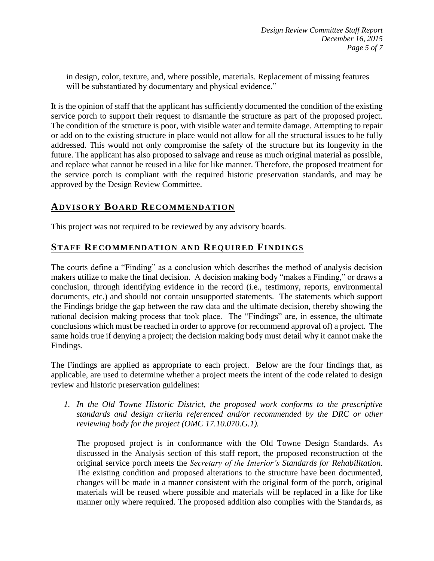in design, color, texture, and, where possible, materials. Replacement of missing features will be substantiated by documentary and physical evidence."

It is the opinion of staff that the applicant has sufficiently documented the condition of the existing service porch to support their request to dismantle the structure as part of the proposed project. The condition of the structure is poor, with visible water and termite damage. Attempting to repair or add on to the existing structure in place would not allow for all the structural issues to be fully addressed. This would not only compromise the safety of the structure but its longevity in the future. The applicant has also proposed to salvage and reuse as much original material as possible, and replace what cannot be reused in a like for like manner. Therefore, the proposed treatment for the service porch is compliant with the required historic preservation standards, and may be approved by the Design Review Committee.

# **ADVISORY BOARD RECOMMENDATION**

This project was not required to be reviewed by any advisory boards.

## **STAFF RECOMMENDATION AND REQUIRED FINDINGS**

The courts define a "Finding" as a conclusion which describes the method of analysis decision makers utilize to make the final decision. A decision making body "makes a Finding," or draws a conclusion, through identifying evidence in the record (i.e., testimony, reports, environmental documents, etc.) and should not contain unsupported statements. The statements which support the Findings bridge the gap between the raw data and the ultimate decision, thereby showing the rational decision making process that took place. The "Findings" are, in essence, the ultimate conclusions which must be reached in order to approve (or recommend approval of) a project. The same holds true if denying a project; the decision making body must detail why it cannot make the Findings.

The Findings are applied as appropriate to each project.Below are the four findings that, as applicable, are used to determine whether a project meets the intent of the code related to design review and historic preservation guidelines:

*1. In the Old Towne Historic District, the proposed work conforms to the prescriptive standards and design criteria referenced and/or recommended by the DRC or other reviewing body for the project (OMC 17.10.070.G.1).*

The proposed project is in conformance with the Old Towne Design Standards. As discussed in the Analysis section of this staff report, the proposed reconstruction of the original service porch meets the *Secretary of the Interior's Standards for Rehabilitation*. The existing condition and proposed alterations to the structure have been documented, changes will be made in a manner consistent with the original form of the porch, original materials will be reused where possible and materials will be replaced in a like for like manner only where required. The proposed addition also complies with the Standards, as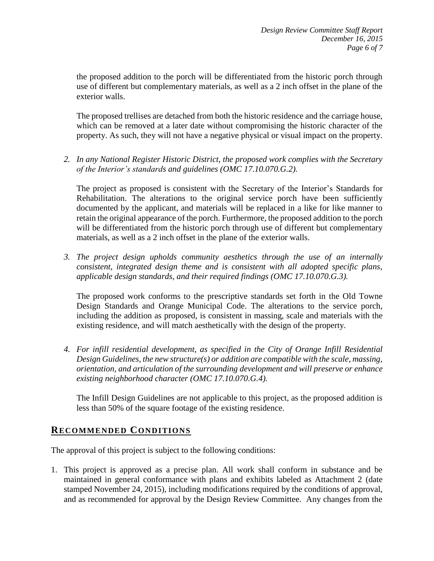the proposed addition to the porch will be differentiated from the historic porch through use of different but complementary materials, as well as a 2 inch offset in the plane of the exterior walls.

The proposed trellises are detached from both the historic residence and the carriage house, which can be removed at a later date without compromising the historic character of the property. As such, they will not have a negative physical or visual impact on the property.

*2. In any National Register Historic District, the proposed work complies with the Secretary of the Interior's standards and guidelines (OMC 17.10.070.G.2).*

The project as proposed is consistent with the Secretary of the Interior's Standards for Rehabilitation. The alterations to the original service porch have been sufficiently documented by the applicant, and materials will be replaced in a like for like manner to retain the original appearance of the porch. Furthermore, the proposed addition to the porch will be differentiated from the historic porch through use of different but complementary materials, as well as a 2 inch offset in the plane of the exterior walls.

*3. The project design upholds community aesthetics through the use of an internally consistent, integrated design theme and is consistent with all adopted specific plans, applicable design standards, and their required findings (OMC 17.10.070.G.3).*

The proposed work conforms to the prescriptive standards set forth in the Old Towne Design Standards and Orange Municipal Code. The alterations to the service porch, including the addition as proposed, is consistent in massing, scale and materials with the existing residence, and will match aesthetically with the design of the property.

*4. For infill residential development, as specified in the City of Orange Infill Residential Design Guidelines, the new structure(s) or addition are compatible with the scale, massing, orientation, and articulation of the surrounding development and will preserve or enhance existing neighborhood character (OMC 17.10.070.G.4).*

The Infill Design Guidelines are not applicable to this project, as the proposed addition is less than 50% of the square footage of the existing residence.

#### **RECOMMENDED CONDITIONS**

The approval of this project is subject to the following conditions:

1. This project is approved as a precise plan. All work shall conform in substance and be maintained in general conformance with plans and exhibits labeled as Attachment 2 (date stamped November 24, 2015), including modifications required by the conditions of approval, and as recommended for approval by the Design Review Committee. Any changes from the